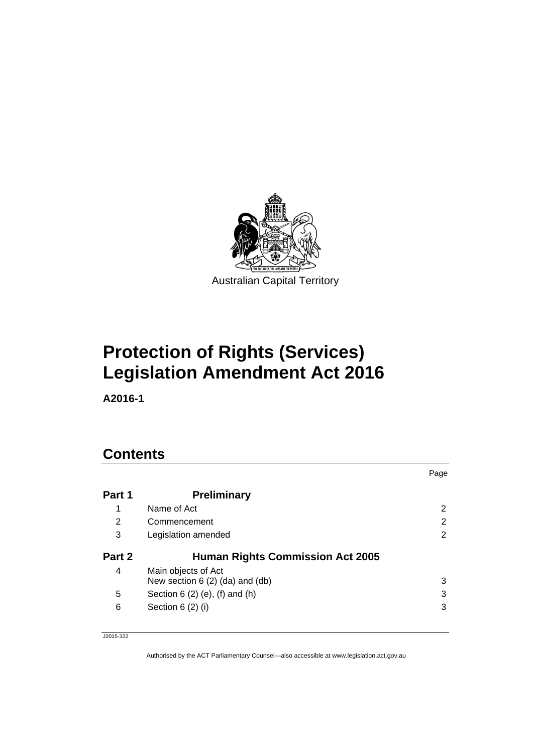

# **Protection of Rights (Services) Legislation Amendment Act 2016**

**A2016-1** 

# **Contents**

|        |                                         | Page |
|--------|-----------------------------------------|------|
| Part 1 | <b>Preliminary</b>                      |      |
| 1      | Name of Act                             | 2    |
| 2      | Commencement                            | 2    |
| 3      | Legislation amended                     | 2    |
| Part 2 | <b>Human Rights Commission Act 2005</b> |      |
| 4      | Main objects of Act                     |      |
|        | New section $6(2)$ (da) and (db)        | 3    |
| 5      | Section $6(2)$ (e), (f) and (h)         | 3    |
| 6      | Section $6(2)$ (i)                      | 3    |

J2015-322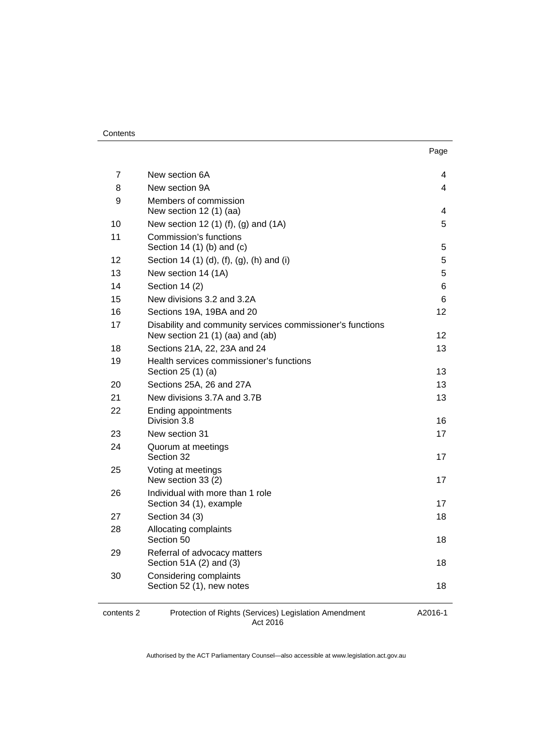#### **Contents**

| . .<br>×<br>۰.<br>× |
|---------------------|
|---------------------|

| 7          | New section 6A                                                    | 4       |
|------------|-------------------------------------------------------------------|---------|
| 8          | New section 9A                                                    | 4       |
| 9          | Members of commission                                             |         |
|            | New section 12 (1) (aa)                                           | 4       |
| 10         | New section 12 (1) (f), (g) and (1A)                              | 5       |
| 11         | Commission's functions                                            |         |
|            | Section 14 (1) (b) and (c)                                        | 5       |
| 12         | Section 14 (1) (d), (f), (g), (h) and (i)                         | 5       |
| 13         | New section 14 (1A)                                               | 5       |
| 14         | Section 14 (2)                                                    | 6       |
| 15         | New divisions 3.2 and 3.2A                                        | 6       |
| 16         | Sections 19A, 19BA and 20                                         | 12      |
| 17         | Disability and community services commissioner's functions        |         |
|            | New section 21 (1) (aa) and (ab)                                  | 12      |
| 18         | Sections 21A, 22, 23A and 24                                      | 13      |
| 19         | Health services commissioner's functions<br>Section 25 (1) (a)    | 13      |
| 20         | Sections 25A, 26 and 27A                                          | 13      |
| 21         | New divisions 3.7A and 3.7B                                       | 13      |
| 22         | Ending appointments<br>Division 3.8                               | 16      |
| 23         | New section 31                                                    | 17      |
| 24         | Quorum at meetings<br>Section 32                                  | 17      |
| 25         | Voting at meetings<br>New section 33 (2)                          | 17      |
| 26         | Individual with more than 1 role<br>Section 34 (1), example       | 17      |
| 27         | Section 34 (3)                                                    | 18      |
| 28         | Allocating complaints<br>Section 50                               | 18      |
| 29         | Referral of advocacy matters<br>Section 51A (2) and (3)           | 18      |
| 30         | Considering complaints<br>Section 52 (1), new notes               | 18      |
| contents 2 | Protection of Rights (Services) Legislation Amendment<br>Act 2016 | A2016-1 |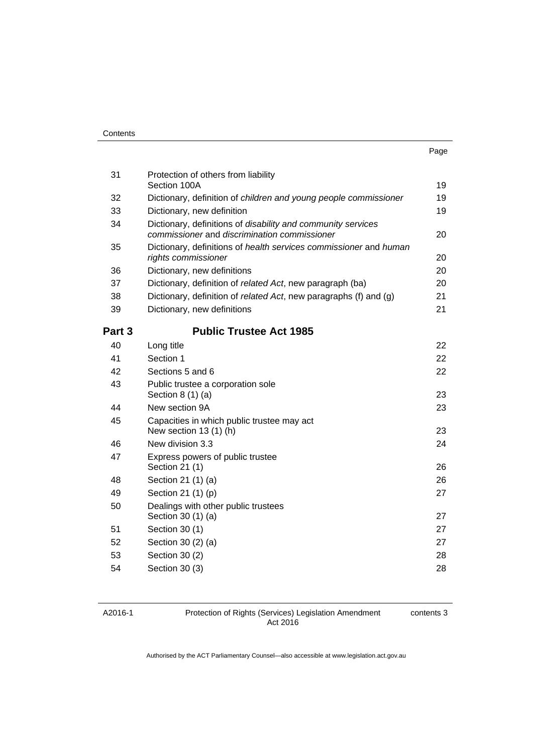| ٠<br>× | × | ۰. |
|--------|---|----|

| 31     | Protection of others from liability<br>Section 100A                                                          | 19 |
|--------|--------------------------------------------------------------------------------------------------------------|----|
| 32     | Dictionary, definition of children and young people commissioner                                             | 19 |
| 33     | Dictionary, new definition                                                                                   | 19 |
| 34     | Dictionary, definitions of disability and community services<br>commissioner and discrimination commissioner | 20 |
| 35     | Dictionary, definitions of health services commissioner and human<br>rights commissioner                     | 20 |
| 36     | Dictionary, new definitions                                                                                  | 20 |
| 37     | Dictionary, definition of related Act, new paragraph (ba)                                                    | 20 |
| 38     | Dictionary, definition of related Act, new paragraphs (f) and (g)                                            | 21 |
| 39     | Dictionary, new definitions                                                                                  | 21 |
| Part 3 | <b>Public Trustee Act 1985</b>                                                                               |    |
| 40     | Long title                                                                                                   | 22 |
| 41     | Section 1                                                                                                    | 22 |
| 42     | Sections 5 and 6                                                                                             | 22 |
| 43     | Public trustee a corporation sole<br>Section $8(1)(a)$                                                       | 23 |
| 44     | New section 9A                                                                                               | 23 |
| 45     | Capacities in which public trustee may act<br>New section 13 (1) (h)                                         | 23 |
| 46     | New division 3.3                                                                                             | 24 |
| 47     | Express powers of public trustee<br>Section 21 (1)                                                           | 26 |
| 48     | Section 21 (1) (a)                                                                                           | 26 |
| 49     | Section 21 (1) (p)                                                                                           | 27 |
| 50     | Dealings with other public trustees<br>Section 30 (1) (a)                                                    | 27 |
| 51     | Section 30 (1)                                                                                               | 27 |
| 52     | Section 30 (2) (a)                                                                                           | 27 |
| 53     | Section 30 (2)                                                                                               | 28 |
| 54     | Section 30 (3)                                                                                               | 28 |
|        |                                                                                                              |    |

#### A2016-1

Protection of Rights (Services) Legislation Amendment Act 2016

contents 3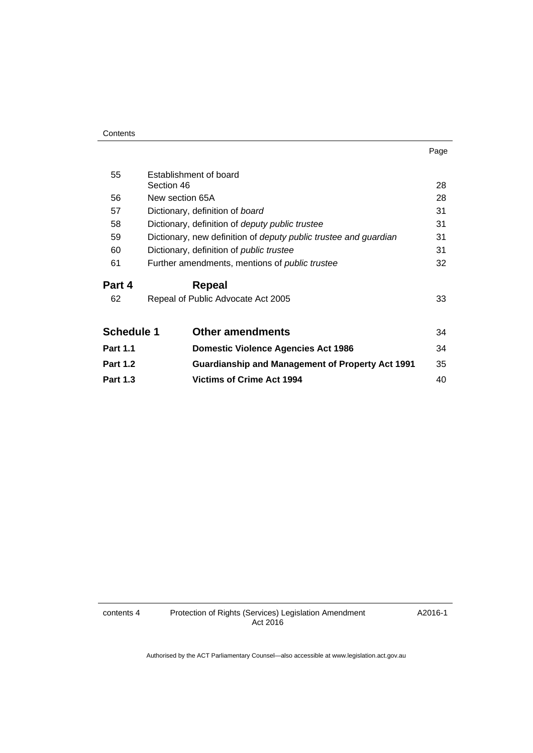| Contents |
|----------|
|----------|

| . .<br>×<br>۰. |  |
|----------------|--|

| 55              | Establishment of board                                           |    |
|-----------------|------------------------------------------------------------------|----|
|                 | Section 46                                                       | 28 |
| 56              | New section 65A                                                  | 28 |
| 57              | Dictionary, definition of board                                  | 31 |
| 58              | Dictionary, definition of <i>deputy public trustee</i>           | 31 |
| 59              | Dictionary, new definition of deputy public trustee and guardian | 31 |
| 60              | Dictionary, definition of <i>public trustee</i>                  | 31 |
| 61              | Further amendments, mentions of <i>public trustee</i>            | 32 |
| Part 4          | Repeal                                                           |    |
|                 |                                                                  |    |
| 62              | Repeal of Public Advocate Act 2005                               | 33 |
| Schedule 1      | <b>Other amendments</b>                                          | 34 |
| <b>Part 1.1</b> | <b>Domestic Violence Agencies Act 1986</b>                       | 34 |
| <b>Part 1.2</b> | <b>Guardianship and Management of Property Act 1991</b>          | 35 |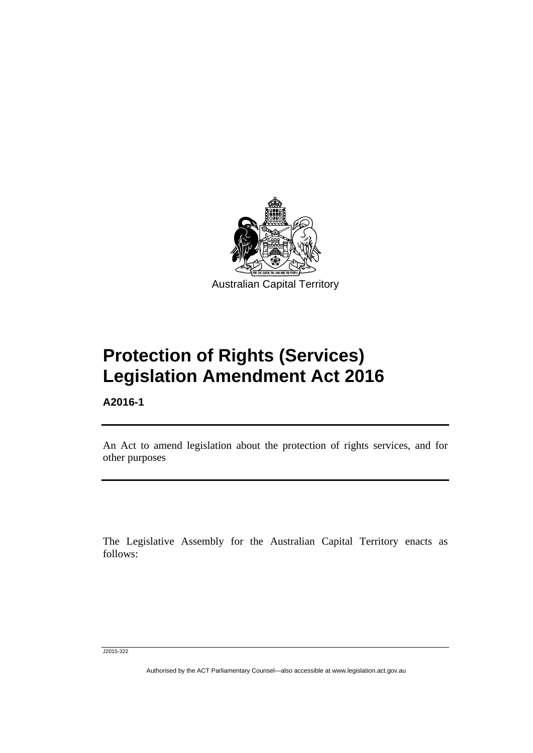

**Protection of Rights (Services) Legislation Amendment Act 2016** 

**A2016-1** 

Ī

An Act to amend legislation about the protection of rights services, and for other purposes

The Legislative Assembly for the Australian Capital Territory enacts as follows:

J2015-322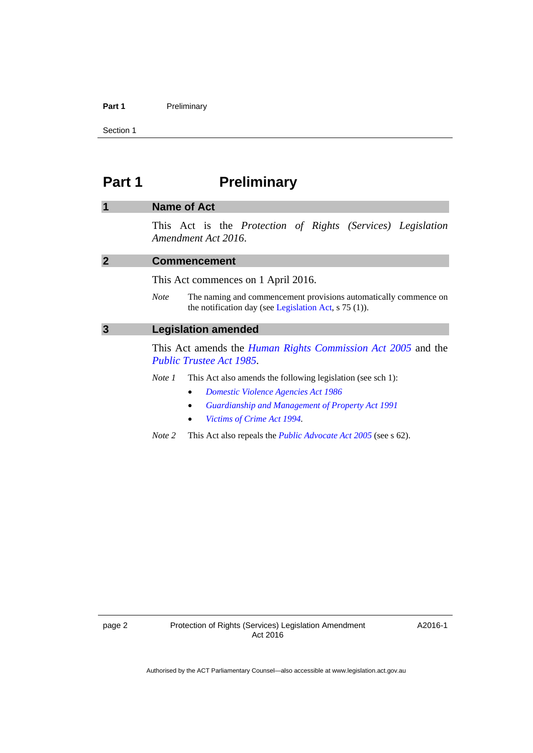#### Part 1 **Preliminary**

Section 1

# <span id="page-5-0"></span>**Part 1** Preliminary

## <span id="page-5-1"></span>**1 Name of Act**

This Act is the *Protection of Rights (Services) Legislation Amendment Act 2016*.

<span id="page-5-3"></span><span id="page-5-2"></span>

| <b>Commencement</b>                                                                                                                        |
|--------------------------------------------------------------------------------------------------------------------------------------------|
| This Act commences on 1 April 2016.                                                                                                        |
| The naming and commencement provisions automatically commence on<br><b>Note</b><br>the notification day (see Legislation Act, $s$ 75 (1)). |
| <b>Legislation amended</b>                                                                                                                 |
| This Act amends the <i>Human Rights Commission Act 2005</i> and the<br><b>Public Trustee Act 1985.</b>                                     |
| This Act also amends the following legislation (see sch 1):<br>Note 1                                                                      |

- *[Domestic Violence Agencies Act 1986](http://www.legislation.act.gov.au/a/1986-52)*
- *[Guardianship and Management of Property Act 1991](http://www.legislation.act.gov.au/a/1991-62)*
- *[Victims of Crime Act 1994](http://www.legislation.act.gov.au/a/1994-83).*
- *Note 2* This Act also repeals the *[Public Advocate Act 2005](http://www.legislation.act.gov.au/a/2005-47)* (see s 62).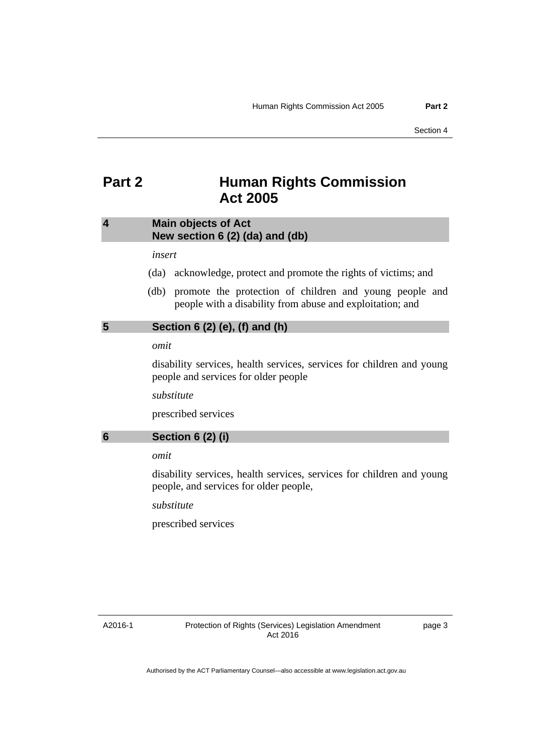# <span id="page-6-0"></span>**Part 2 Human Rights Commission Act 2005**

# <span id="page-6-1"></span>**4 Main objects of Act New section 6 (2) (da) and (db)**

#### *insert*

- (da) acknowledge, protect and promote the rights of victims; and
- (db) promote the protection of children and young people and people with a disability from abuse and exploitation; and

# <span id="page-6-2"></span>**5 Section 6 (2) (e), (f) and (h)**

#### *omit*

disability services, health services, services for children and young people and services for older people

*substitute* 

prescribed services

# <span id="page-6-3"></span>**6 Section 6 (2) (i)**

# *omit*

disability services, health services, services for children and young people, and services for older people,

*substitute* 

prescribed services

A2016-1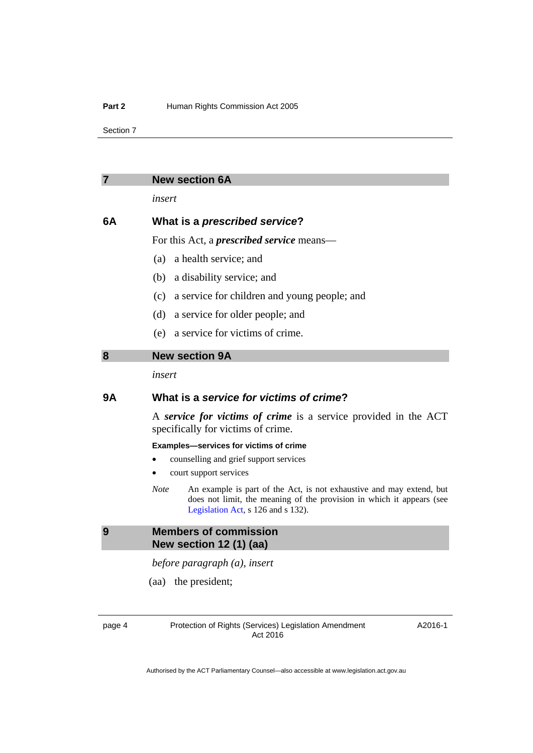Section 7

<span id="page-7-1"></span><span id="page-7-0"></span>

| 7  | <b>New section 6A</b>                                                                                                                                                                              |
|----|----------------------------------------------------------------------------------------------------------------------------------------------------------------------------------------------------|
|    | insert                                                                                                                                                                                             |
| 6A | What is a prescribed service?                                                                                                                                                                      |
|    | For this Act, a <i>prescribed service</i> means—                                                                                                                                                   |
|    | (a)<br>a health service; and                                                                                                                                                                       |
|    | a disability service; and<br>(b)                                                                                                                                                                   |
|    | a service for children and young people; and<br>(c)                                                                                                                                                |
|    | a service for older people; and<br>(d)                                                                                                                                                             |
|    | (e) a service for victims of crime.                                                                                                                                                                |
| 8  | <b>New section 9A</b>                                                                                                                                                                              |
|    | insert                                                                                                                                                                                             |
| 9Α | What is a service for victims of crime?                                                                                                                                                            |
|    | A service for victims of crime is a service provided in the ACT<br>specifically for victims of crime.                                                                                              |
|    | Examples-services for victims of crime                                                                                                                                                             |
|    | counselling and grief support services<br>court support services                                                                                                                                   |
|    | <b>Note</b><br>An example is part of the Act, is not exhaustive and may extend, but<br>does not limit, the meaning of the provision in which it appears (see<br>Legislation Act, s 126 and s 132). |
| 9  | <b>Members of commission</b><br>New section 12 (1) (aa)                                                                                                                                            |
|    | before paragraph (a), insert                                                                                                                                                                       |
|    | (aa) the president;                                                                                                                                                                                |
|    |                                                                                                                                                                                                    |

<span id="page-7-2"></span>

page 4 Protection of Rights (Services) Legislation Amendment Act 2016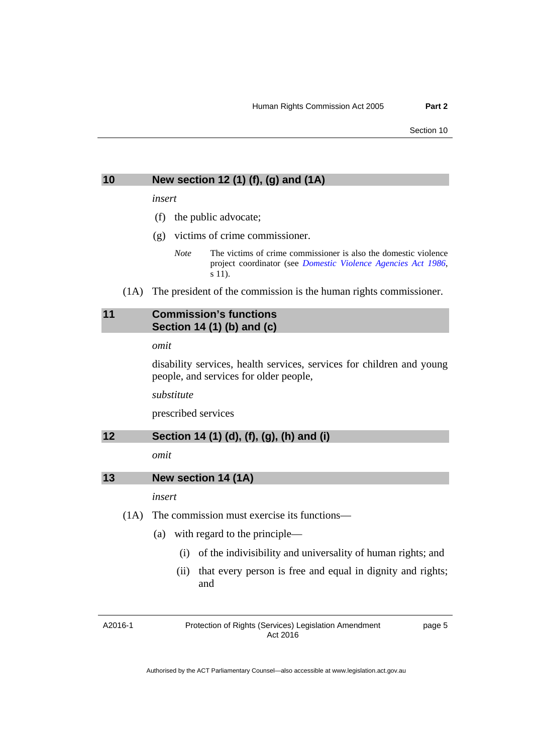#### <span id="page-8-0"></span>**10 New section 12 (1) (f), (g) and (1A)**

#### *insert*

- (f) the public advocate;
- (g) victims of crime commissioner.
	- *Note* The victims of crime commissioner is also the domestic violence project coordinator (see *[Domestic Violence Agencies Act 1986](http://www.legislation.act.gov.au/a/1986-52)*, s 11).
- (1A) The president of the commission is the human rights commissioner.

## <span id="page-8-1"></span>**11 Commission's functions Section 14 (1) (b) and (c)**

#### *omit*

disability services, health services, services for children and young people, and services for older people,

*substitute* 

prescribed services

# <span id="page-8-2"></span>**12 Section 14 (1) (d), (f), (g), (h) and (i)**

*omit* 

<span id="page-8-3"></span>

| New section 14 (1A)<br>13 |  |  |
|---------------------------|--|--|
|---------------------------|--|--|

*insert* 

- (1A) The commission must exercise its functions—
	- (a) with regard to the principle—
		- (i) of the indivisibility and universality of human rights; and
		- (ii) that every person is free and equal in dignity and rights; and

A2016-1

Protection of Rights (Services) Legislation Amendment Act 2016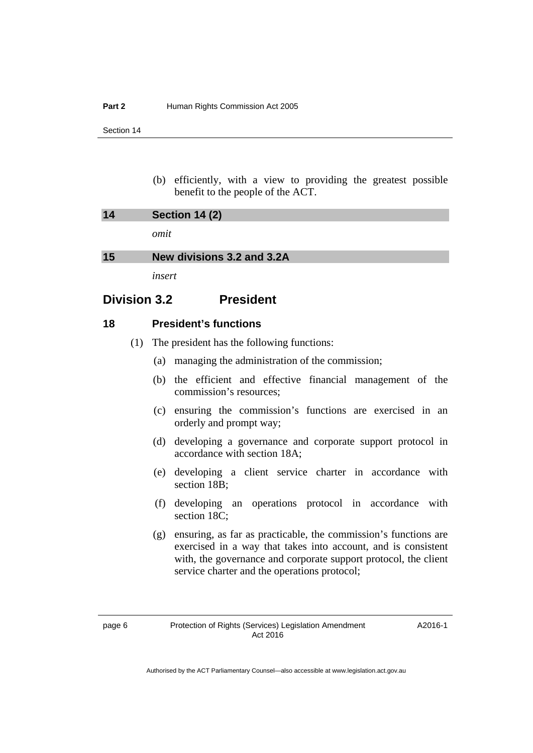Section 14

 (b) efficiently, with a view to providing the greatest possible benefit to the people of the ACT.

<span id="page-9-0"></span>

| 14 | <b>Section 14 (2)</b>      |
|----|----------------------------|
|    | omit                       |
| 15 | New divisions 3.2 and 3.2A |

*insert* 

# <span id="page-9-1"></span>**Division 3.2 President**

#### **18 President's functions**

- (1) The president has the following functions:
	- (a) managing the administration of the commission;
	- (b) the efficient and effective financial management of the commission's resources;
	- (c) ensuring the commission's functions are exercised in an orderly and prompt way;
	- (d) developing a governance and corporate support protocol in accordance with section 18A;
	- (e) developing a client service charter in accordance with section 18B;
	- (f) developing an operations protocol in accordance with section 18C:
	- (g) ensuring, as far as practicable, the commission's functions are exercised in a way that takes into account, and is consistent with, the governance and corporate support protocol, the client service charter and the operations protocol;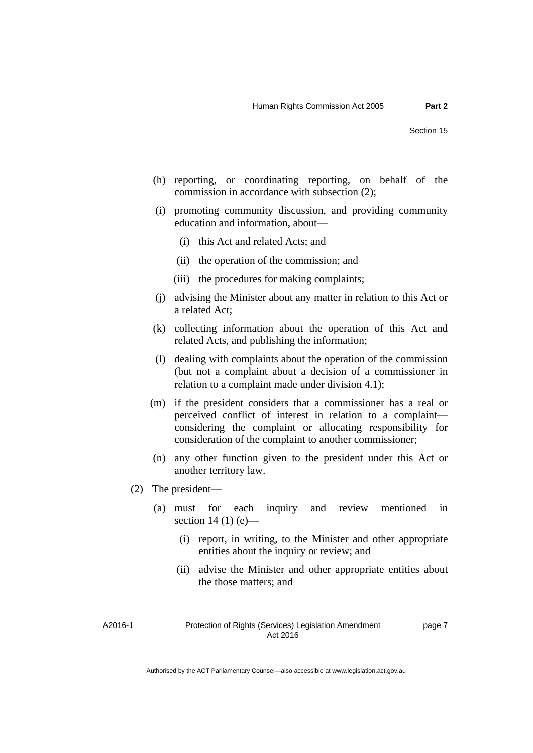- (h) reporting, or coordinating reporting, on behalf of the commission in accordance with subsection (2);
- (i) promoting community discussion, and providing community education and information, about—
	- (i) this Act and related Acts; and
	- (ii) the operation of the commission; and
	- (iii) the procedures for making complaints;
- (j) advising the Minister about any matter in relation to this Act or a related Act;
- (k) collecting information about the operation of this Act and related Acts, and publishing the information;
- (l) dealing with complaints about the operation of the commission (but not a complaint about a decision of a commissioner in relation to a complaint made under division 4.1);
- (m) if the president considers that a commissioner has a real or perceived conflict of interest in relation to a complaint considering the complaint or allocating responsibility for consideration of the complaint to another commissioner;
- (n) any other function given to the president under this Act or another territory law.
- (2) The president—
	- (a) must for each inquiry and review mentioned in section 14 (1)  $(e)$ —
		- (i) report, in writing, to the Minister and other appropriate entities about the inquiry or review; and
		- (ii) advise the Minister and other appropriate entities about the those matters; and

A2016-1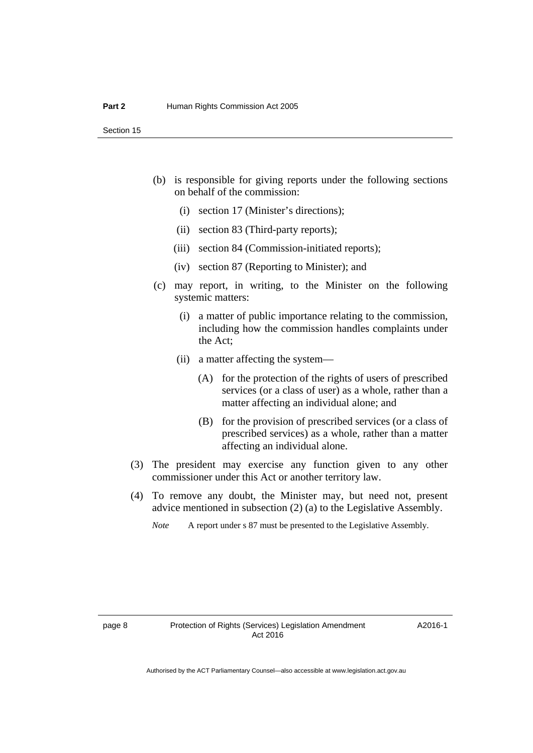- (b) is responsible for giving reports under the following sections on behalf of the commission:
	- (i) section 17 (Minister's directions);
	- (ii) section 83 (Third-party reports);
	- (iii) section 84 (Commission-initiated reports);
	- (iv) section 87 (Reporting to Minister); and
- (c) may report, in writing, to the Minister on the following systemic matters:
	- (i) a matter of public importance relating to the commission, including how the commission handles complaints under the Act;
	- (ii) a matter affecting the system—
		- (A) for the protection of the rights of users of prescribed services (or a class of user) as a whole, rather than a matter affecting an individual alone; and
		- (B) for the provision of prescribed services (or a class of prescribed services) as a whole, rather than a matter affecting an individual alone.
- (3) The president may exercise any function given to any other commissioner under this Act or another territory law.
- (4) To remove any doubt, the Minister may, but need not, present advice mentioned in subsection (2) (a) to the Legislative Assembly.
	- *Note* A report under s 87 must be presented to the Legislative Assembly.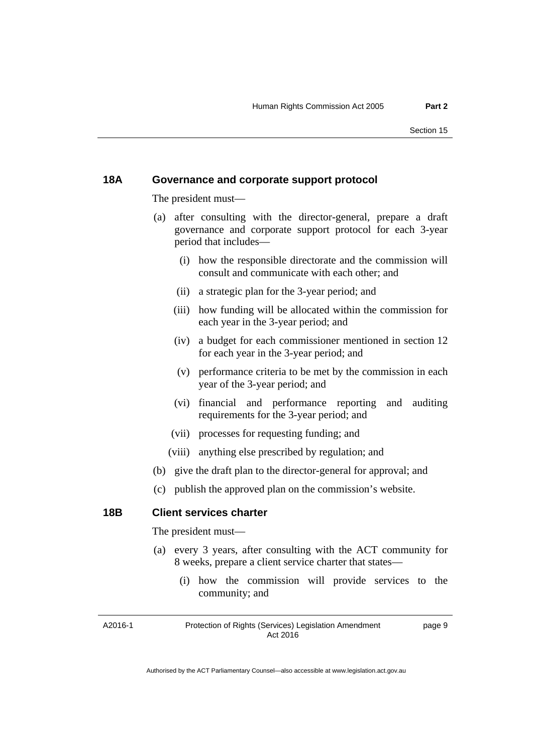#### **18A Governance and corporate support protocol**

The president must—

- (a) after consulting with the director-general, prepare a draft governance and corporate support protocol for each 3-year period that includes—
	- (i) how the responsible directorate and the commission will consult and communicate with each other; and
	- (ii) a strategic plan for the 3-year period; and
	- (iii) how funding will be allocated within the commission for each year in the 3-year period; and
	- (iv) a budget for each commissioner mentioned in section 12 for each year in the 3-year period; and
	- (v) performance criteria to be met by the commission in each year of the 3-year period; and
	- (vi) financial and performance reporting and auditing requirements for the 3-year period; and
	- (vii) processes for requesting funding; and
	- (viii) anything else prescribed by regulation; and
- (b) give the draft plan to the director-general for approval; and
- (c) publish the approved plan on the commission's website.

#### **18B Client services charter**

The president must—

- (a) every 3 years, after consulting with the ACT community for 8 weeks, prepare a client service charter that states—
	- (i) how the commission will provide services to the community; and

A2016-1

#### Protection of Rights (Services) Legislation Amendment Act 2016

page 9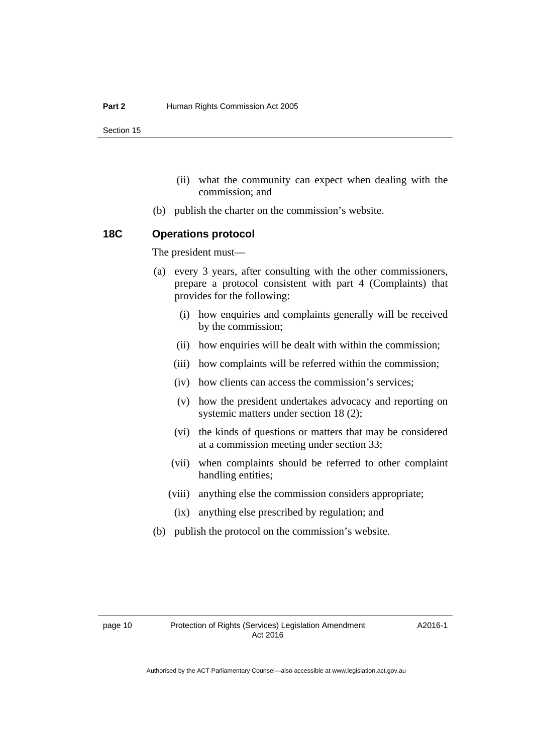Section 15

- (ii) what the community can expect when dealing with the commission; and
- (b) publish the charter on the commission's website.

#### **18C Operations protocol**

The president must—

- (a) every 3 years, after consulting with the other commissioners, prepare a protocol consistent with part 4 (Complaints) that provides for the following:
	- (i) how enquiries and complaints generally will be received by the commission;
	- (ii) how enquiries will be dealt with within the commission;
	- (iii) how complaints will be referred within the commission;
	- (iv) how clients can access the commission's services;
	- (v) how the president undertakes advocacy and reporting on systemic matters under section 18 (2);
	- (vi) the kinds of questions or matters that may be considered at a commission meeting under section 33;
	- (vii) when complaints should be referred to other complaint handling entities;
	- (viii) anything else the commission considers appropriate;
	- (ix) anything else prescribed by regulation; and
- (b) publish the protocol on the commission's website.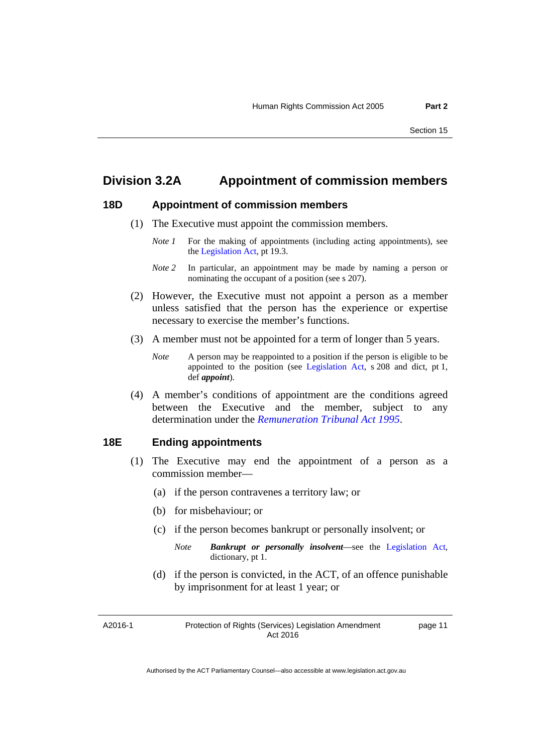# **Division 3.2A Appointment of commission members**

# **18D Appointment of commission members**

- (1) The Executive must appoint the commission members.
	- *Note 1* For the making of appointments (including acting appointments), see the [Legislation Act,](http://www.legislation.act.gov.au/a/2001-14) pt 19.3.
	- *Note 2* In particular, an appointment may be made by naming a person or nominating the occupant of a position (see s 207).
- (2) However, the Executive must not appoint a person as a member unless satisfied that the person has the experience or expertise necessary to exercise the member's functions.
- (3) A member must not be appointed for a term of longer than 5 years.
	- *Note* A person may be reappointed to a position if the person is eligible to be appointed to the position (see [Legislation Act,](http://www.legislation.act.gov.au/a/2001-14) s 208 and dict, pt 1, def *appoint*).
- (4) A member's conditions of appointment are the conditions agreed between the Executive and the member, subject to any determination under the *[Remuneration Tribunal Act 1995](http://www.legislation.act.gov.au/a/1995-55)*.

#### **18E Ending appointments**

- (1) The Executive may end the appointment of a person as a commission member—
	- (a) if the person contravenes a territory law; or
	- (b) for misbehaviour; or
	- (c) if the person becomes bankrupt or personally insolvent; or
		- *Note Bankrupt or personally insolvent*—see the [Legislation Act,](http://www.legislation.act.gov.au/a/2001-14) dictionary, pt 1.
	- (d) if the person is convicted, in the ACT, of an offence punishable by imprisonment for at least 1 year; or

A2016-1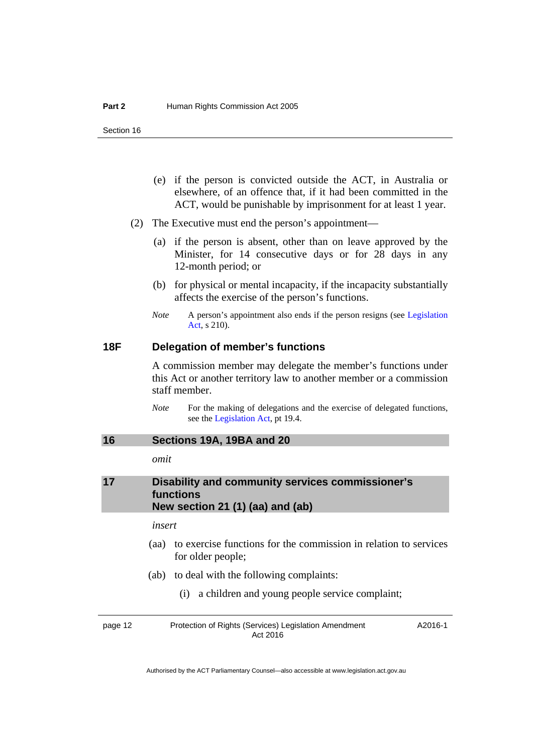- (e) if the person is convicted outside the ACT, in Australia or elsewhere, of an offence that, if it had been committed in the ACT, would be punishable by imprisonment for at least 1 year.
- (2) The Executive must end the person's appointment—
	- (a) if the person is absent, other than on leave approved by the Minister, for 14 consecutive days or for 28 days in any 12-month period; or
	- (b) for physical or mental incapacity, if the incapacity substantially affects the exercise of the person's functions.
	- *Note* A person's appointment also ends if the person resigns (see Legislation [Act](http://www.legislation.act.gov.au/a/2001-14), s 210).

#### **18F Delegation of member's functions**

A commission member may delegate the member's functions under this Act or another territory law to another member or a commission staff member.

*Note* For the making of delegations and the exercise of delegated functions, see the [Legislation Act,](http://www.legislation.act.gov.au/a/2001-14) pt 19.4.

## <span id="page-15-0"></span>**16 Sections 19A, 19BA and 20**

*omit* 

## <span id="page-15-1"></span>**17 Disability and community services commissioner's functions New section 21 (1) (aa) and (ab)**

#### *insert*

- (aa) to exercise functions for the commission in relation to services for older people;
- (ab) to deal with the following complaints:
	- (i) a children and young people service complaint;

page 12 Protection of Rights (Services) Legislation Amendment Act 2016 A2016-1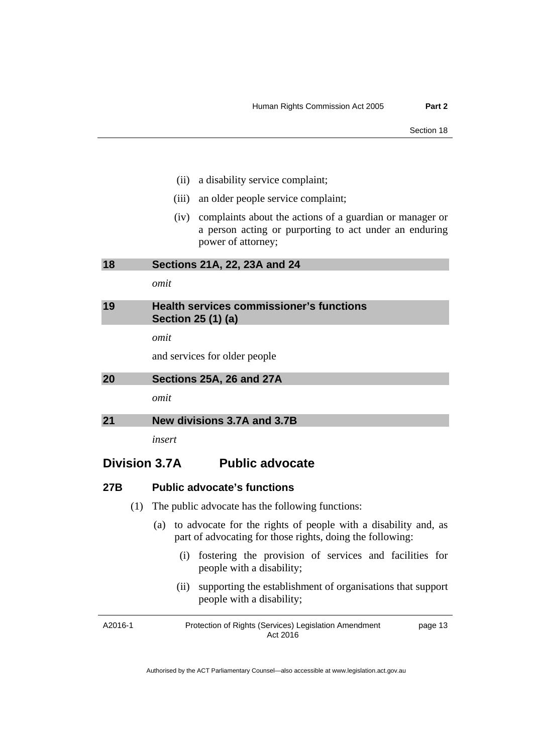- (ii) a disability service complaint;
- (iii) an older people service complaint;
- (iv) complaints about the actions of a guardian or manager or a person acting or purporting to act under an enduring power of attorney;

<span id="page-16-0"></span>**18 Sections 21A, 22, 23A and 24** 

*omit* 

<span id="page-16-1"></span>

| 19 | Health services commissioner's functions |
|----|------------------------------------------|
|    | Section 25 (1) (a)                       |

*omit* 

and services for older people

<span id="page-16-2"></span>

| 20 | Sections 25A, 26 and 27A |
|----|--------------------------|
|----|--------------------------|

*omit* 

<span id="page-16-3"></span>**21 New divisions 3.7A and 3.7B** 

*insert* 

# **Division 3.7A Public advocate**

#### **27B Public advocate's functions**

- (1) The public advocate has the following functions:
	- (a) to advocate for the rights of people with a disability and, as part of advocating for those rights, doing the following:
		- (i) fostering the provision of services and facilities for people with a disability;
		- (ii) supporting the establishment of organisations that support people with a disability;

| A2016-1 | Protection of Rights (Services) Legislation Amendment | page 13 |
|---------|-------------------------------------------------------|---------|
|         | Act 2016                                              |         |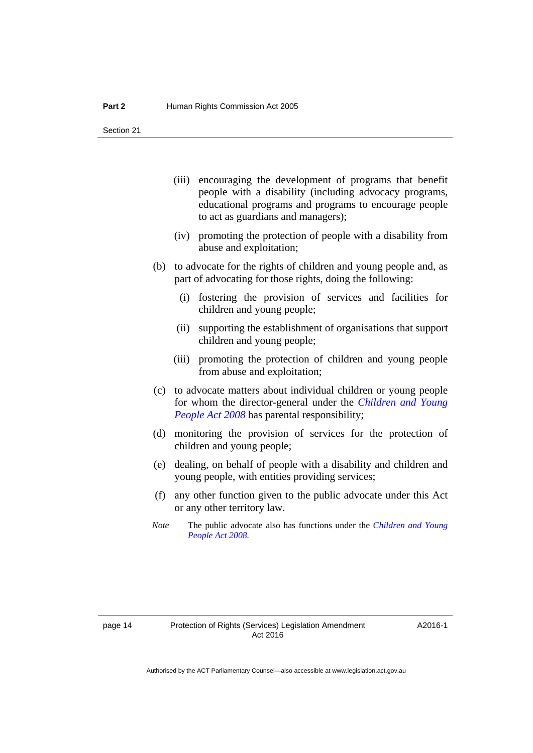Section 21

- (iii) encouraging the development of programs that benefit people with a disability (including advocacy programs, educational programs and programs to encourage people to act as guardians and managers);
- (iv) promoting the protection of people with a disability from abuse and exploitation;
- (b) to advocate for the rights of children and young people and, as part of advocating for those rights, doing the following:
	- (i) fostering the provision of services and facilities for children and young people;
	- (ii) supporting the establishment of organisations that support children and young people;
	- (iii) promoting the protection of children and young people from abuse and exploitation;
- (c) to advocate matters about individual children or young people for whom the director-general under the *[Children and Young](http://www.legislation.act.gov.au/a/2008-19)  [People Act 2008](http://www.legislation.act.gov.au/a/2008-19)* has parental responsibility;
- (d) monitoring the provision of services for the protection of children and young people;
- (e) dealing, on behalf of people with a disability and children and young people, with entities providing services;
- (f) any other function given to the public advocate under this Act or any other territory law.
- *Note* The public advocate also has functions under the *[Children and Young](http://www.legislation.act.gov.au/a/2008-19)  [People Act 2008](http://www.legislation.act.gov.au/a/2008-19).*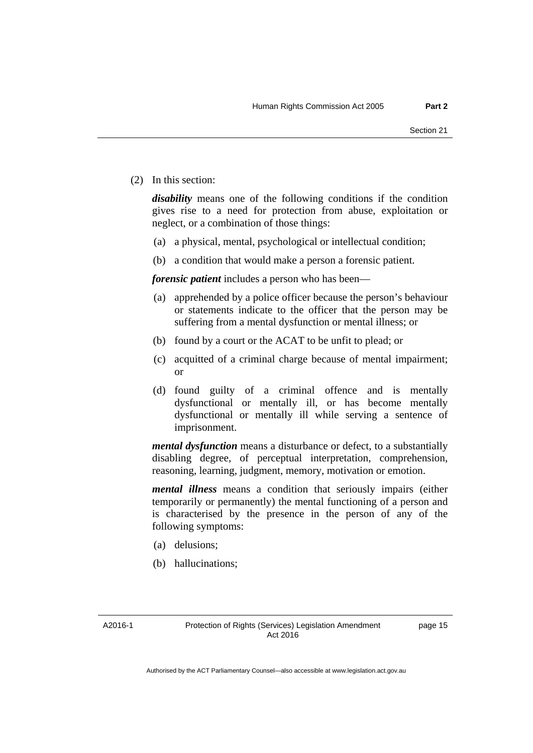(2) In this section:

*disability* means one of the following conditions if the condition gives rise to a need for protection from abuse, exploitation or neglect, or a combination of those things:

- (a) a physical, mental, psychological or intellectual condition;
- (b) a condition that would make a person a forensic patient.

*forensic patient* includes a person who has been—

- (a) apprehended by a police officer because the person's behaviour or statements indicate to the officer that the person may be suffering from a mental dysfunction or mental illness; or
- (b) found by a court or the ACAT to be unfit to plead; or
- (c) acquitted of a criminal charge because of mental impairment; or
- (d) found guilty of a criminal offence and is mentally dysfunctional or mentally ill, or has become mentally dysfunctional or mentally ill while serving a sentence of imprisonment.

*mental dysfunction* means a disturbance or defect, to a substantially disabling degree, of perceptual interpretation, comprehension, reasoning, learning, judgment, memory, motivation or emotion.

*mental illness* means a condition that seriously impairs (either temporarily or permanently) the mental functioning of a person and is characterised by the presence in the person of any of the following symptoms:

- (a) delusions;
- (b) hallucinations;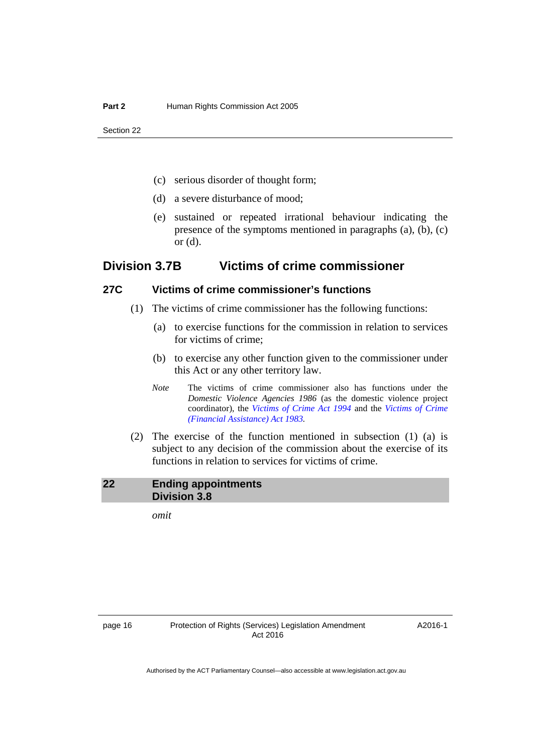Section 22

- (c) serious disorder of thought form;
- (d) a severe disturbance of mood;
- (e) sustained or repeated irrational behaviour indicating the presence of the symptoms mentioned in paragraphs (a), (b), (c) or (d).

# **Division 3.7B Victims of crime commissioner**

# **27C Victims of crime commissioner's functions**

- (1) The victims of crime commissioner has the following functions:
	- (a) to exercise functions for the commission in relation to services for victims of crime;
	- (b) to exercise any other function given to the commissioner under this Act or any other territory law.
	- *Note* The victims of crime commissioner also has functions under the *Domestic Violence Agencies 1986* (as the domestic violence project coordinator), the *[Victims of Crime Act 1994](http://www.legislation.act.gov.au/a/1994-83)* and the *[Victims of Crime](http://www.legislation.act.gov.au/a/1983-11)  [\(Financial Assistance\) Act 1983.](http://www.legislation.act.gov.au/a/1983-11)*
- (2) The exercise of the function mentioned in subsection (1) (a) is subject to any decision of the commission about the exercise of its functions in relation to services for victims of crime.

#### <span id="page-19-0"></span>**22 Ending appointments Division 3.8**

*omit*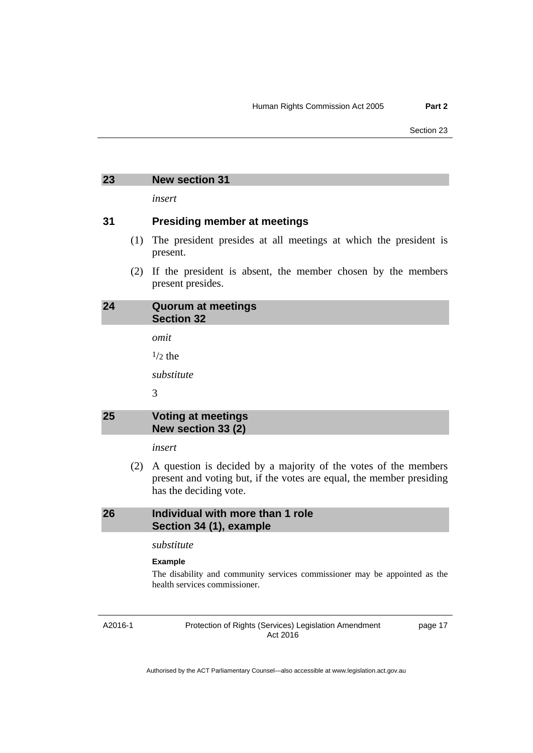#### <span id="page-20-0"></span>**23 New section 31**

*insert* 

#### **31 Presiding member at meetings**

- (1) The president presides at all meetings at which the president is present.
- (2) If the president is absent, the member chosen by the members present presides.

# <span id="page-20-1"></span>**24 Quorum at meetings Section 32**

*omit* 

 $1/2$  the

*substitute* 

3

# <span id="page-20-2"></span>**25 Voting at meetings New section 33 (2)**

*insert* 

 (2) A question is decided by a majority of the votes of the members present and voting but, if the votes are equal, the member presiding has the deciding vote.

#### <span id="page-20-3"></span>**26 Individual with more than 1 role Section 34 (1), example**

*substitute* 

#### **Example**

The disability and community services commissioner may be appointed as the health services commissioner.

A2016-1

Protection of Rights (Services) Legislation Amendment Act 2016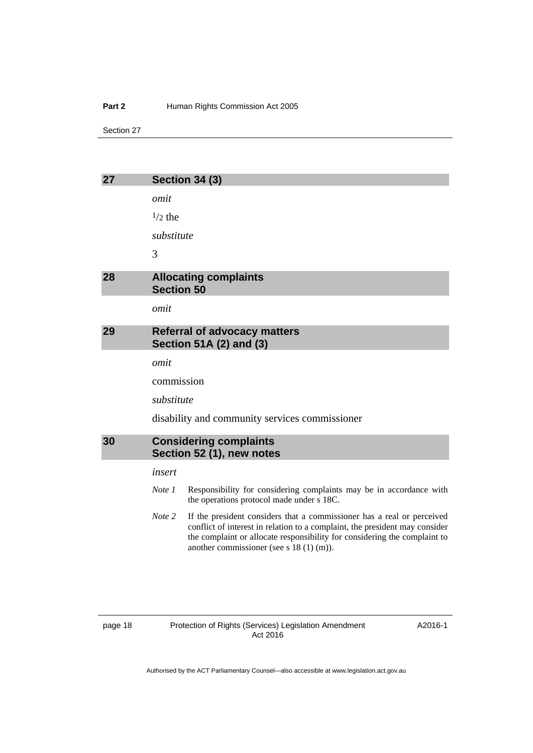#### Part 2 **Human Rights Commission Act 2005**

Section 27

<span id="page-21-2"></span><span id="page-21-1"></span><span id="page-21-0"></span>

| 27 | <b>Section 34 (3)</b>                                          |
|----|----------------------------------------------------------------|
|    | omit                                                           |
|    | $\frac{1}{2}$ the                                              |
|    | substitute                                                     |
|    | 3                                                              |
| 28 | <b>Allocating complaints</b><br><b>Section 50</b>              |
|    | omit                                                           |
| 29 | <b>Referral of advocacy matters</b><br>Section 51A (2) and (3) |
|    | omit                                                           |
|    | commission                                                     |
|    | substitute                                                     |
|    | disability and community services commissioner                 |
| 30 | <b>Considering complaints</b><br>Section 52 (1), new notes     |
|    | insert                                                         |

<span id="page-21-3"></span>*Note 1* Responsibility for considering complaints may be in accordance with

*Note 2* If the president considers that a commissioner has a real or perceived

conflict of interest in relation to a complaint, the president may consider the complaint or allocate responsibility for considering the complaint to

the operations protocol made under s 18C.

another commissioner (see s 18 (1) (m)).

A2016-1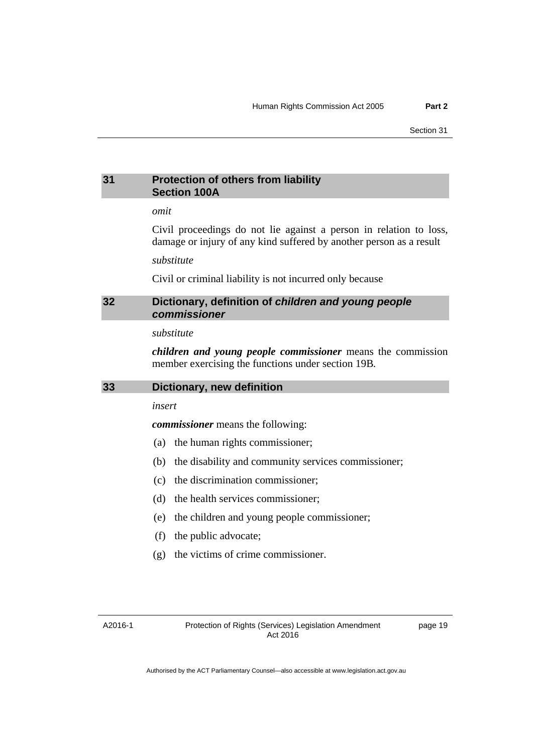## <span id="page-22-0"></span>**31 Protection of others from liability Section 100A**

# *omit*

Civil proceedings do not lie against a person in relation to loss, damage or injury of any kind suffered by another person as a result

#### *substitute*

Civil or criminal liability is not incurred only because

#### <span id="page-22-1"></span>**32 Dictionary, definition of** *children and young people commissioner*

#### *substitute*

*children and young people commissioner* means the commission member exercising the functions under section 19B*.* 

<span id="page-22-2"></span>

|  | 33 | Dictionary, new definition |
|--|----|----------------------------|
|--|----|----------------------------|

*insert* 

*commissioner* means the following:

- (a) the human rights commissioner;
- (b) the disability and community services commissioner;
- (c) the discrimination commissioner;
- (d) the health services commissioner;
- (e) the children and young people commissioner;
- (f) the public advocate;
- (g) the victims of crime commissioner.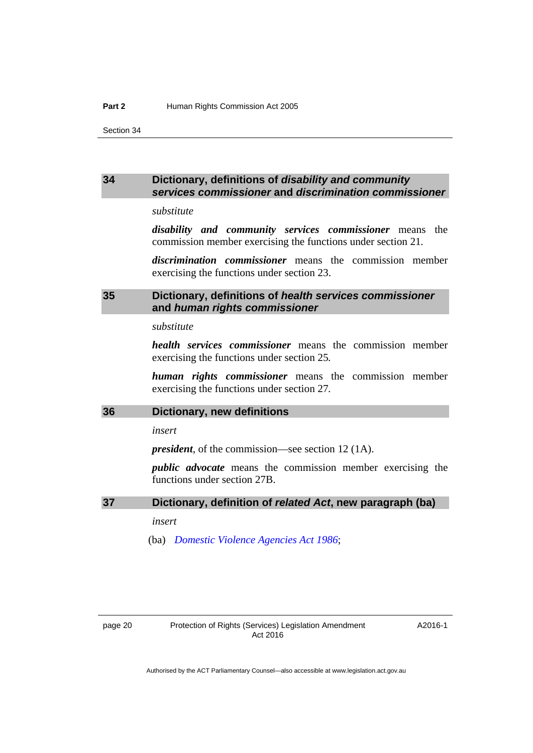Section 34

#### <span id="page-23-0"></span>**34 Dictionary, definitions of** *disability and community services commissioner* **and** *discrimination commissioner*

# *substitute*

*disability and community services commissioner* means the commission member exercising the functions under section 21*.* 

*discrimination commissioner* means the commission member exercising the functions under section 23.

# <span id="page-23-1"></span>**35 Dictionary, definitions of** *health services commissioner*  **and** *human rights commissioner*

*substitute* 

*health services commissioner* means the commission member exercising the functions under section 25*.*

*human rights commissioner* means the commission member exercising the functions under section 27*.* 

#### <span id="page-23-2"></span>**36 Dictionary, new definitions**

*insert* 

*president*, of the commission—see section 12 (1A).

*public advocate* means the commission member exercising the functions under section 27B.

#### <span id="page-23-3"></span>**37 Dictionary, definition of** *related Act***, new paragraph (ba)**

*insert* 

(ba) *[Domestic Violence Agencies Act 1986](http://www.legislation.act.gov.au/a/1986-52)*;

A2016-1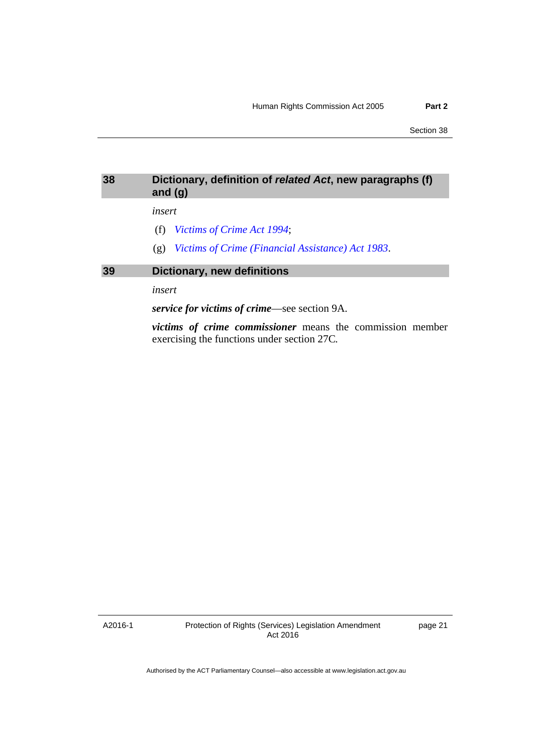## <span id="page-24-0"></span>**38 Dictionary, definition of** *related Act***, new paragraphs (f) and (g)**

#### *insert*

- (f) *[Victims of Crime Act 1994](http://www.legislation.act.gov.au/a/1994-83)*;
- (g) *[Victims of Crime \(Financial Assistance\) Act 1983](http://www.legislation.act.gov.au/a/1983-11)*.

# <span id="page-24-1"></span>**39 Dictionary, new definitions**

*insert* 

*service for victims of crime*—see section 9A.

*victims of crime commissioner* means the commission member exercising the functions under section 27C*.*

A2016-1

Protection of Rights (Services) Legislation Amendment Act 2016

page 21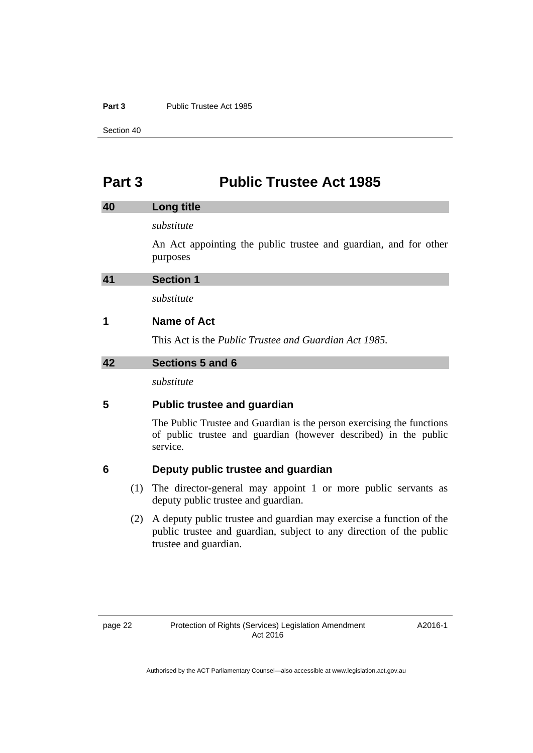#### **Part 3** Public Trustee Act 1985

Section 40

# <span id="page-25-0"></span>**Part 3 Public Trustee Act 1985**

<span id="page-25-2"></span><span id="page-25-1"></span>

| 40 | Long title                                                                                                                                             |
|----|--------------------------------------------------------------------------------------------------------------------------------------------------------|
|    | substitute                                                                                                                                             |
|    | An Act appointing the public trustee and guardian, and for other<br>purposes                                                                           |
| 41 | <b>Section 1</b>                                                                                                                                       |
|    | substitute                                                                                                                                             |
| 1  | Name of Act                                                                                                                                            |
|    | This Act is the <i>Public Trustee and Guardian Act 1985</i> .                                                                                          |
| 42 | Sections 5 and 6                                                                                                                                       |
|    | substitute                                                                                                                                             |
| 5  | <b>Public trustee and guardian</b>                                                                                                                     |
|    | The Public Trustee and Guardian is the person exercising the functions<br>of public trustee and guardian (however described) in the public<br>service. |

# <span id="page-25-3"></span>**6 Deputy public trustee and guardian**

- (1) The director-general may appoint 1 or more public servants as deputy public trustee and guardian.
- (2) A deputy public trustee and guardian may exercise a function of the public trustee and guardian, subject to any direction of the public trustee and guardian.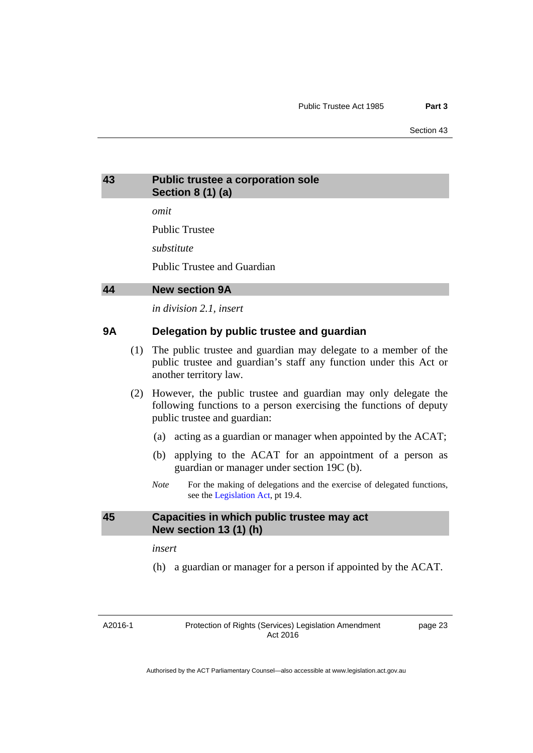# <span id="page-26-0"></span>**43 Public trustee a corporation sole Section 8 (1) (a)**

*omit* 

Public Trustee

*substitute* 

Public Trustee and Guardian

#### <span id="page-26-1"></span>**44 New section 9A**

*in division 2.1, insert* 

## **9A Delegation by public trustee and guardian**

- (1) The public trustee and guardian may delegate to a member of the public trustee and guardian's staff any function under this Act or another territory law.
- (2) However, the public trustee and guardian may only delegate the following functions to a person exercising the functions of deputy public trustee and guardian:
	- (a) acting as a guardian or manager when appointed by the ACAT;
	- (b) applying to the ACAT for an appointment of a person as guardian or manager under section 19C (b).
	- *Note* For the making of delegations and the exercise of delegated functions, see the [Legislation Act,](http://www.legislation.act.gov.au/a/2001-14) pt 19.4.

#### <span id="page-26-2"></span>**45 Capacities in which public trustee may act New section 13 (1) (h)**

*insert* 

(h) a guardian or manager for a person if appointed by the ACAT.

A2016-1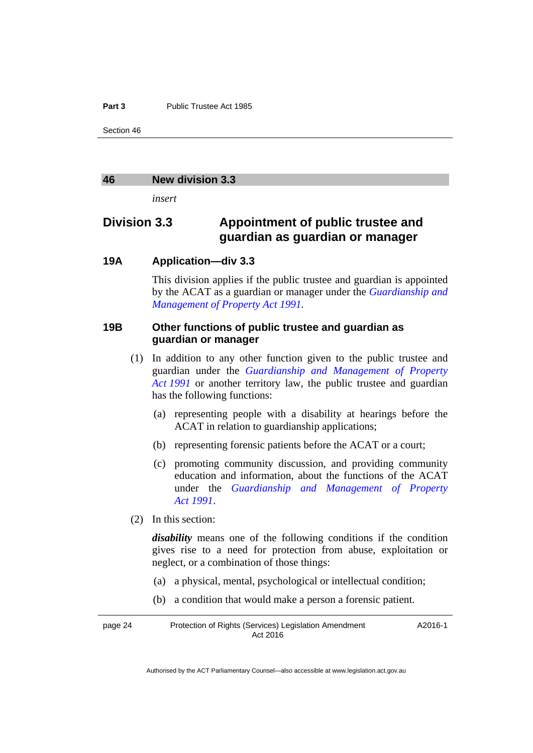#### **Part 3** Public Trustee Act 1985

Section 46

#### <span id="page-27-0"></span>**46 New division 3.3**

*insert* 

# **Division 3.3 Appointment of public trustee and guardian as guardian or manager**

#### **19A Application—div 3.3**

This division applies if the public trustee and guardian is appointed by the ACAT as a guardian or manager under the *[Guardianship and](http://www.legislation.act.gov.au/a/1991-62)  [Management of Property Act 1991.](http://www.legislation.act.gov.au/a/1991-62)*

# **19B Other functions of public trustee and guardian as guardian or manager**

- (1) In addition to any other function given to the public trustee and guardian under the *[Guardianship and Management of Property](http://www.legislation.act.gov.au/a/1991-62)  [Act 1991](http://www.legislation.act.gov.au/a/1991-62)* or another territory law, the public trustee and guardian has the following functions:
	- (a) representing people with a disability at hearings before the ACAT in relation to guardianship applications;
	- (b) representing forensic patients before the ACAT or a court;
	- (c) promoting community discussion, and providing community education and information, about the functions of the ACAT under the *[Guardianship and Management of Property](http://www.legislation.act.gov.au/a/1991-62)  [Act 1991](http://www.legislation.act.gov.au/a/1991-62)*.
- (2) In this section:

*disability* means one of the following conditions if the condition gives rise to a need for protection from abuse, exploitation or neglect, or a combination of those things:

- (a) a physical, mental, psychological or intellectual condition;
- (b) a condition that would make a person a forensic patient.

page 24 Protection of Rights (Services) Legislation Amendment Act 2016 A2016-1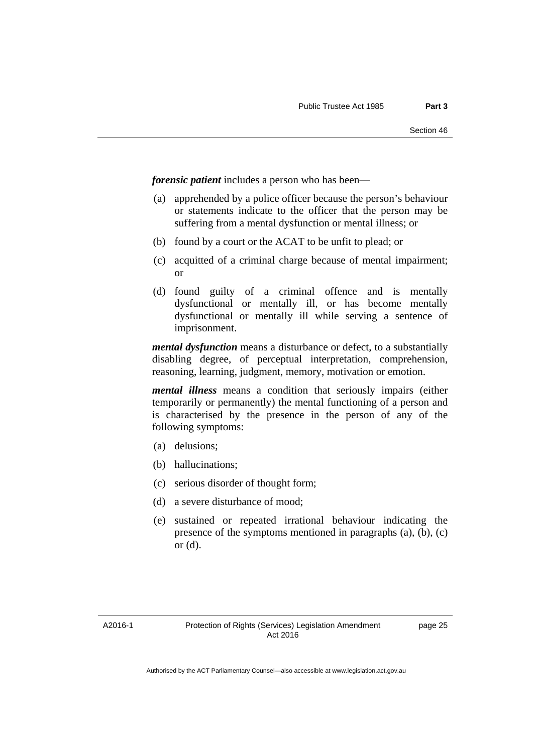*forensic patient* includes a person who has been—

- (a) apprehended by a police officer because the person's behaviour or statements indicate to the officer that the person may be suffering from a mental dysfunction or mental illness; or
- (b) found by a court or the ACAT to be unfit to plead; or
- (c) acquitted of a criminal charge because of mental impairment; or
- (d) found guilty of a criminal offence and is mentally dysfunctional or mentally ill, or has become mentally dysfunctional or mentally ill while serving a sentence of imprisonment.

*mental dysfunction* means a disturbance or defect, to a substantially disabling degree, of perceptual interpretation, comprehension, reasoning, learning, judgment, memory, motivation or emotion.

*mental illness* means a condition that seriously impairs (either temporarily or permanently) the mental functioning of a person and is characterised by the presence in the person of any of the following symptoms:

- (a) delusions;
- (b) hallucinations;
- (c) serious disorder of thought form;
- (d) a severe disturbance of mood;
- (e) sustained or repeated irrational behaviour indicating the presence of the symptoms mentioned in paragraphs (a), (b), (c) or (d).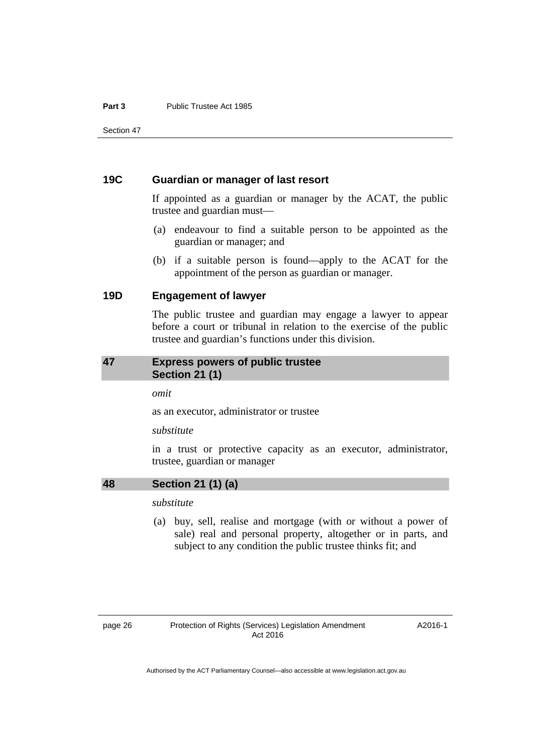#### **Part 3** Public Trustee Act 1985

Section 47

#### **19C Guardian or manager of last resort**

If appointed as a guardian or manager by the ACAT, the public trustee and guardian must—

- (a) endeavour to find a suitable person to be appointed as the guardian or manager; and
- (b) if a suitable person is found—apply to the ACAT for the appointment of the person as guardian or manager.

### **19D Engagement of lawyer**

The public trustee and guardian may engage a lawyer to appear before a court or tribunal in relation to the exercise of the public trustee and guardian's functions under this division.

#### <span id="page-29-0"></span>**47 Express powers of public trustee Section 21 (1)**

*omit* 

as an executor, administrator or trustee

#### *substitute*

in a trust or protective capacity as an executor, administrator, trustee, guardian or manager

# <span id="page-29-1"></span>**48 Section 21 (1) (a)**

*substitute* 

 (a) buy, sell, realise and mortgage (with or without a power of sale) real and personal property, altogether or in parts, and subject to any condition the public trustee thinks fit; and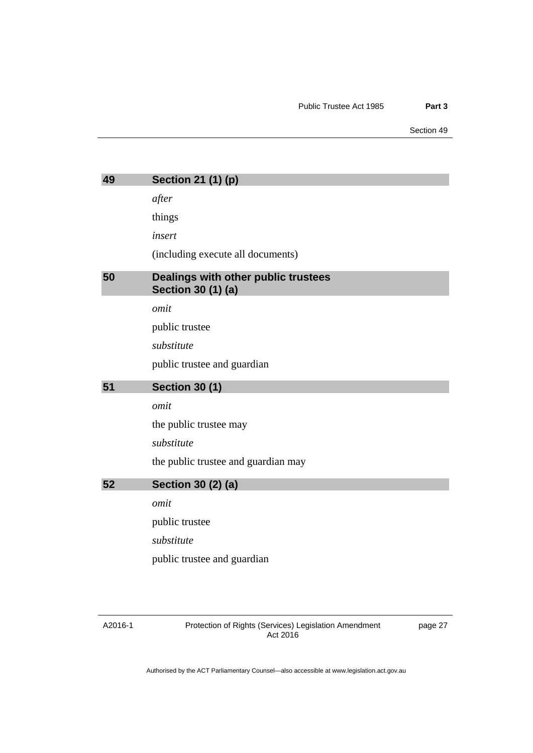Section 49

<span id="page-30-2"></span><span id="page-30-1"></span><span id="page-30-0"></span>

| 49 | Section 21 (1) (p)                                        |
|----|-----------------------------------------------------------|
|    | after                                                     |
|    | things                                                    |
|    | insert                                                    |
|    | (including execute all documents)                         |
| 50 | Dealings with other public trustees<br>Section 30 (1) (a) |
|    | omit                                                      |
|    | public trustee                                            |
|    | substitute                                                |
|    | public trustee and guardian                               |
|    |                                                           |
| 51 | <b>Section 30 (1)</b>                                     |
|    | omit                                                      |
|    | the public trustee may                                    |
|    | substitute                                                |
|    | the public trustee and guardian may                       |
| 52 | <b>Section 30 (2) (a)</b>                                 |
|    | omit                                                      |
|    | public trustee                                            |
|    | substitute                                                |
|    | public trustee and guardian                               |

#### <span id="page-30-3"></span>A2016-1

Protection of Rights (Services) Legislation Amendment Act 2016

page 27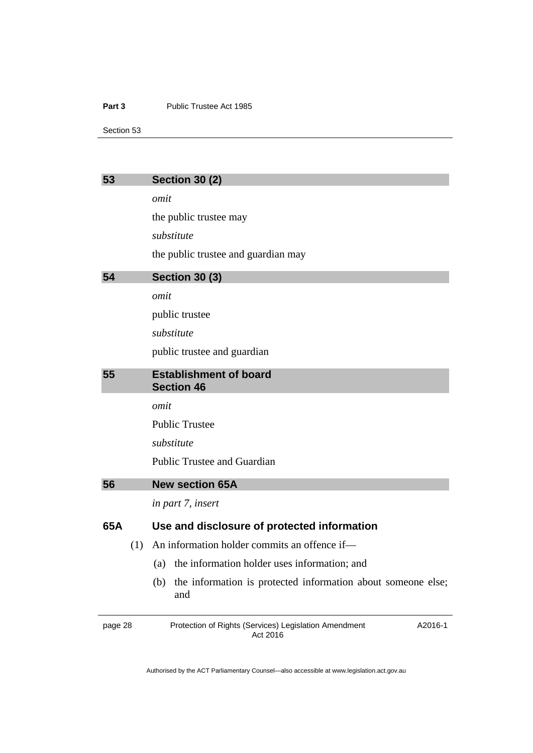#### Part 3 **Public Trustee Act 1985**

Section 53

<span id="page-31-3"></span><span id="page-31-2"></span><span id="page-31-1"></span><span id="page-31-0"></span>

| 53      | <b>Section 30 (2)</b>                                                        |
|---------|------------------------------------------------------------------------------|
|         | omit                                                                         |
|         | the public trustee may                                                       |
|         | substitute                                                                   |
|         | the public trustee and guardian may                                          |
| 54      | <b>Section 30 (3)</b>                                                        |
|         | omit                                                                         |
|         | public trustee                                                               |
|         | substitute                                                                   |
|         | public trustee and guardian                                                  |
| 55      | <b>Establishment of board</b><br><b>Section 46</b>                           |
|         | omit                                                                         |
|         | <b>Public Trustee</b>                                                        |
|         | substitute                                                                   |
|         | <b>Public Trustee and Guardian</b>                                           |
| 56      | <b>New section 65A</b>                                                       |
|         | in part 7, insert                                                            |
| 65A     | Use and disclosure of protected information                                  |
|         | An information holder commits an offence if-<br>(1)                          |
|         | the information holder uses information; and<br>(a)                          |
|         | the information is protected information about someone else;<br>(b)<br>and   |
| page 28 | Protection of Rights (Services) Legislation Amendment<br>A2016-1<br>Act 2016 |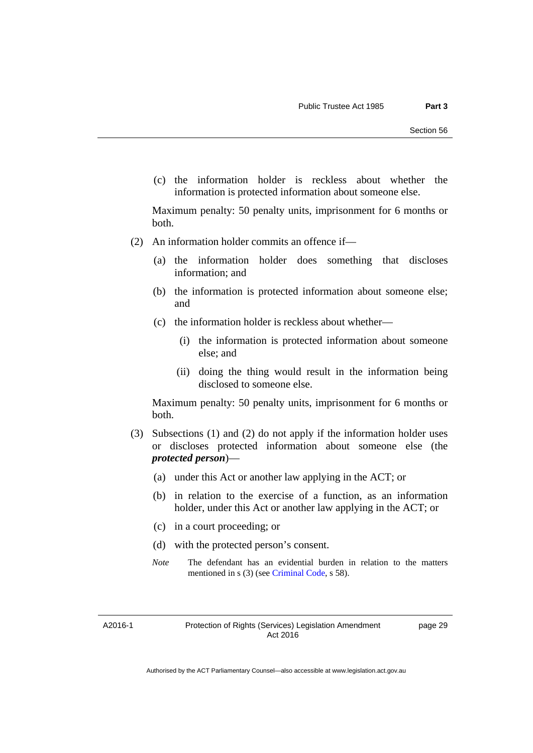(c) the information holder is reckless about whether the information is protected information about someone else.

Maximum penalty: 50 penalty units, imprisonment for 6 months or both.

- (2) An information holder commits an offence if—
	- (a) the information holder does something that discloses information; and
	- (b) the information is protected information about someone else; and
	- (c) the information holder is reckless about whether—
		- (i) the information is protected information about someone else; and
		- (ii) doing the thing would result in the information being disclosed to someone else.

Maximum penalty: 50 penalty units, imprisonment for 6 months or both.

- (3) Subsections (1) and (2) do not apply if the information holder uses or discloses protected information about someone else (the *protected person*)—
	- (a) under this Act or another law applying in the ACT; or
	- (b) in relation to the exercise of a function, as an information holder, under this Act or another law applying in the ACT; or
	- (c) in a court proceeding; or
	- (d) with the protected person's consent.
	- *Note* The defendant has an evidential burden in relation to the matters mentioned in s (3) (see [Criminal Code](http://www.legislation.act.gov.au/a/2002-51), s 58).

A2016-1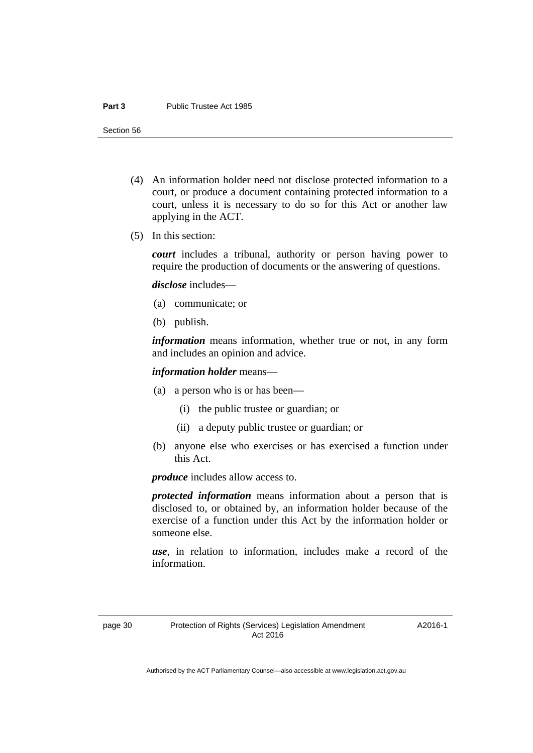#### **Part 3** Public Trustee Act 1985

Section 56

- (4) An information holder need not disclose protected information to a court, or produce a document containing protected information to a court, unless it is necessary to do so for this Act or another law applying in the ACT.
- (5) In this section:

*court* includes a tribunal, authority or person having power to require the production of documents or the answering of questions.

*disclose* includes—

- (a) communicate; or
- (b) publish.

*information* means information, whether true or not, in any form and includes an opinion and advice.

*information holder* means—

- (a) a person who is or has been—
	- (i) the public trustee or guardian; or
	- (ii) a deputy public trustee or guardian; or
- (b) anyone else who exercises or has exercised a function under this Act.

*produce* includes allow access to.

*protected information* means information about a person that is disclosed to, or obtained by, an information holder because of the exercise of a function under this Act by the information holder or someone else.

*use*, in relation to information, includes make a record of the information.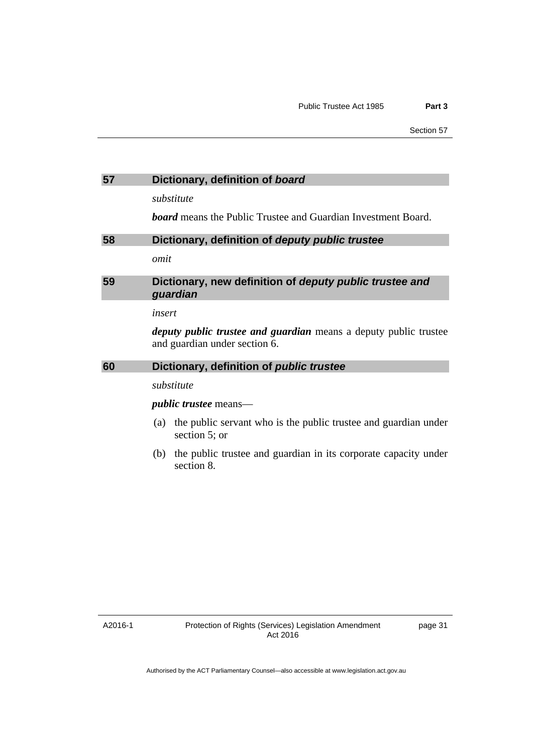<span id="page-34-2"></span><span id="page-34-1"></span><span id="page-34-0"></span>

| 57 | Dictionary, definition of board                                                                          |
|----|----------------------------------------------------------------------------------------------------------|
|    | substitute                                                                                               |
|    | <b>board</b> means the Public Trustee and Guardian Investment Board.                                     |
| 58 | Dictionary, definition of deputy public trustee                                                          |
|    | omit                                                                                                     |
| 59 | Dictionary, new definition of deputy public trustee and<br>guardian                                      |
|    | insert                                                                                                   |
|    | <i>deputy public trustee and guardian</i> means a deputy public trustee<br>and guardian under section 6. |
| 60 | Dictionary, definition of <i>public trustee</i>                                                          |
|    | substitute                                                                                               |
|    | <i>public trustee</i> means—                                                                             |
|    | the public servant who is the public trustee and guardian under<br>(a)<br>section 5; or                  |
|    | the public trustee and guardian in its corporate capacity under<br>(b)                                   |

<span id="page-34-3"></span>section 8.

A2016-1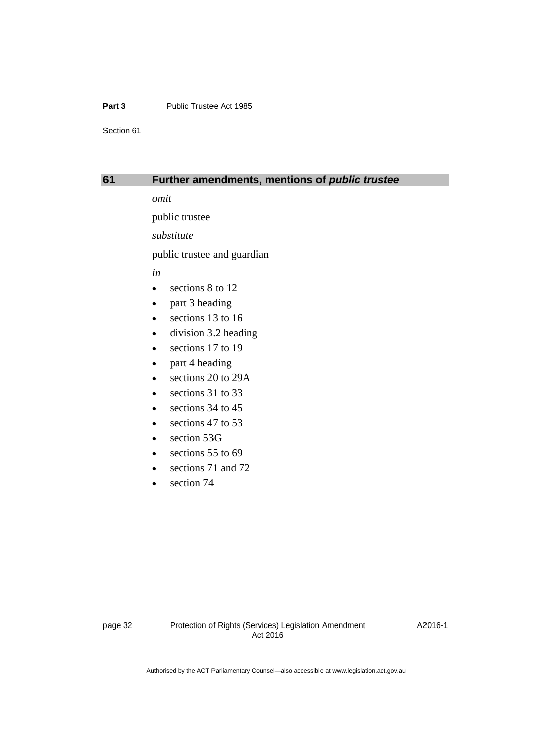#### **Part 3** Public Trustee Act 1985

Section 61

#### <span id="page-35-0"></span>**61 Further amendments, mentions of** *public trustee*

*omit* 

public trustee

*substitute* 

public trustee and guardian

*in* 

- sections 8 to 12
- part 3 heading
- e sections 13 to 16
- division 3.2 heading
- e sections 17 to 19
- part 4 heading
- sections 20 to 29A
- e sections 31 to 33
- $\bullet$  sections 34 to 45
- e sections 47 to 53
- section 53G
- $\cdot$  sections 55 to 69
- e sections 71 and 72
- section 74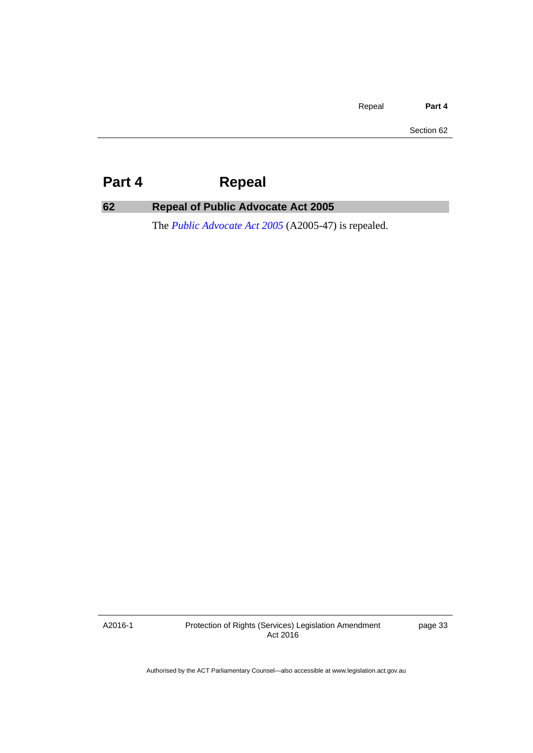Repeal **Part 4**

Section 62

# <span id="page-36-0"></span>**Part 4 Repeal**

# <span id="page-36-1"></span>**62 Repeal of Public Advocate Act 2005**

The *[Public Advocate Act 2005](http://www.legislation.act.gov.au/a/2005-47)* (A2005-47) is repealed.

A2016-1

Protection of Rights (Services) Legislation Amendment Act 2016

page 33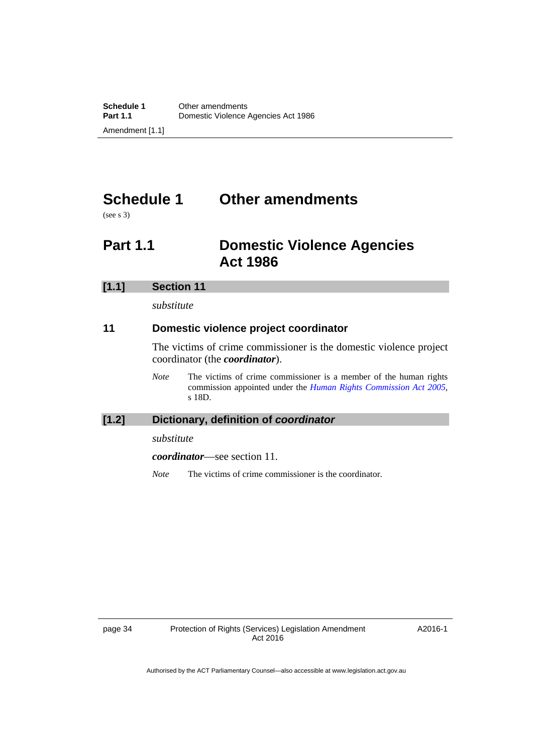# <span id="page-37-0"></span>**Schedule 1 Other amendments**

(see s 3)

# <span id="page-37-1"></span>**Part 1.1 Domestic Violence Agencies Act 1986**

| [1.1] | <b>Section 11</b> |
|-------|-------------------|
|       | substitute        |

# **11 Domestic violence project coordinator**

The victims of crime commissioner is the domestic violence project coordinator (the *coordinator*).

*Note* The victims of crime commissioner is a member of the human rights commission appointed under the *[Human Rights Commission Act 2005](http://www.legislation.act.gov.au/a/2005-40)*, s 18D.

## **[1.2] Dictionary, definition of** *coordinator*

*substitute* 

*coordinator*—see section 11.

*Note* The victims of crime commissioner is the coordinator.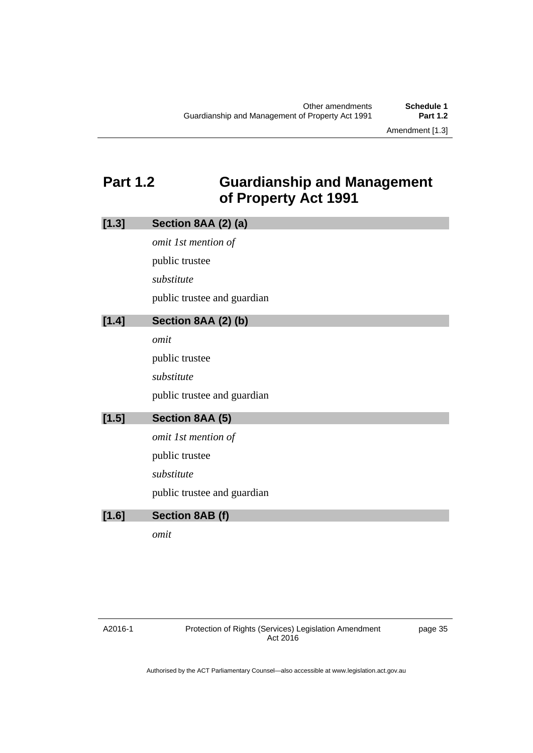Amendment [1.3]

# <span id="page-38-0"></span>**Part 1.2 Guardianship and Management of Property Act 1991**

| [1.3] | Section 8AA (2) (a)         |
|-------|-----------------------------|
|       | omit 1st mention of         |
|       | public trustee              |
|       | substitute                  |
|       | public trustee and guardian |
| [1.4] | Section 8AA (2) (b)         |
|       | omit                        |
|       | public trustee              |
|       | substitute                  |
|       | public trustee and guardian |
| [1.5] | Section 8AA (5)             |
|       | omit 1st mention of         |
|       | public trustee              |
|       | substitute                  |
|       | public trustee and guardian |
| [1.6] | Section 8AB (f)             |
|       | omit                        |
|       |                             |

page 35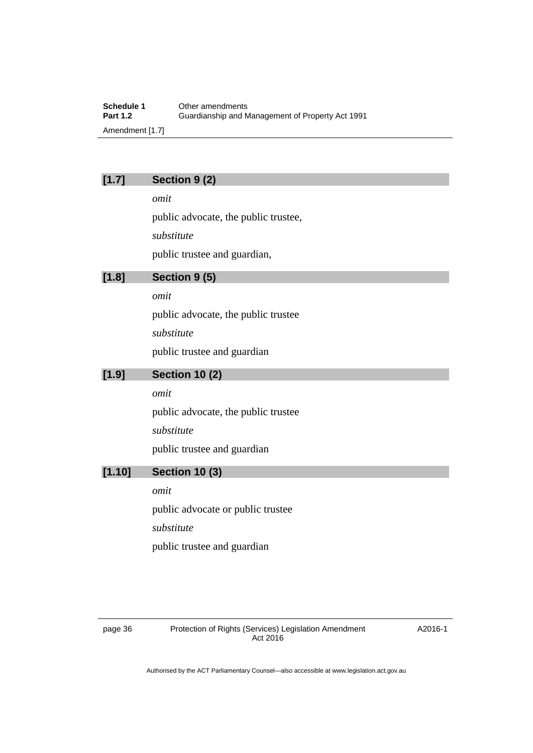**Schedule 1** Other amendments<br> **Part 1.2** Guardianship and M **Part 1.2** Guardianship and Management of Property Act 1991 Amendment [1.7]

# **[1.7] Section 9 (2)**

*omit* 

public advocate, the public trustee,

*substitute* 

public trustee and guardian,

# **[1.8] Section 9 (5)**

*omit* 

public advocate, the public trustee

*substitute* 

public trustee and guardian

## **[1.9] Section 10 (2)**

*omit* 

public advocate, the public trustee *substitute*  public trustee and guardian

# **[1.10] Section 10 (3)**

*omit*  public advocate or public trustee *substitute*  public trustee and guardian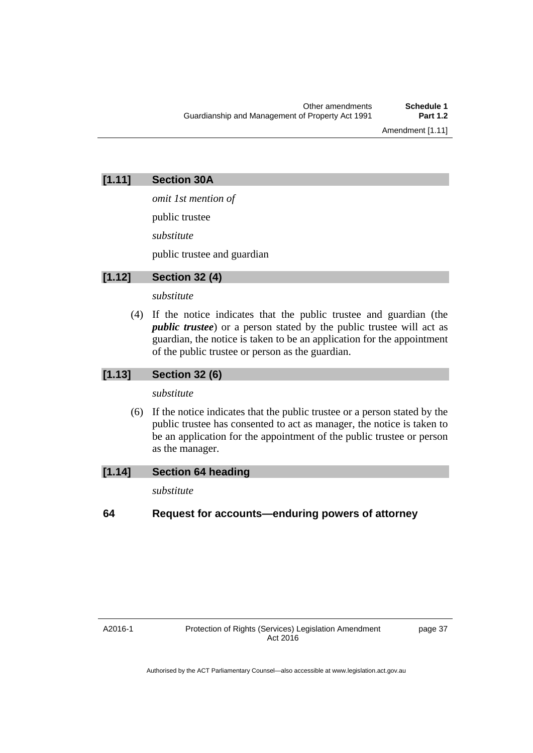Amendment [1.11]

# **[1.11] Section 30A**

*omit 1st mention of*  public trustee *substitute* 

public trustee and guardian

# **[1.12] Section 32 (4)**

#### *substitute*

 (4) If the notice indicates that the public trustee and guardian (the *public trustee*) or a person stated by the public trustee will act as guardian, the notice is taken to be an application for the appointment of the public trustee or person as the guardian.

# **[1.13] Section 32 (6)**

#### *substitute*

 (6) If the notice indicates that the public trustee or a person stated by the public trustee has consented to act as manager, the notice is taken to be an application for the appointment of the public trustee or person as the manager.

# **[1.14] Section 64 heading**

*substitute* 

# **64 Request for accounts—enduring powers of attorney**

A2016-1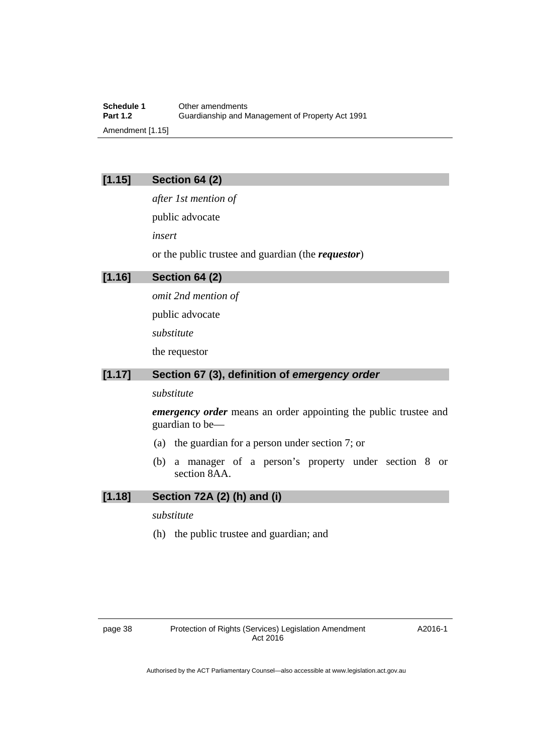**Schedule 1** Other amendments<br> **Part 1.2** Guardianship and M **Part 1.2** Guardianship and Management of Property Act 1991 Amendment [1.15]

# **[1.15] Section 64 (2)**

*after 1st mention of*  public advocate *insert* 

or the public trustee and guardian (the *requestor*)

## **[1.16] Section 64 (2)**

*omit 2nd mention of*  public advocate *substitute*  the requestor

# **[1.17] Section 67 (3), definition of** *emergency order*

#### *substitute*

*emergency order* means an order appointing the public trustee and guardian to be—

- (a) the guardian for a person under section 7; or
- (b) a manager of a person's property under section 8 or section 8AA.

# **[1.18] Section 72A (2) (h) and (i)**

*substitute* 

(h) the public trustee and guardian; and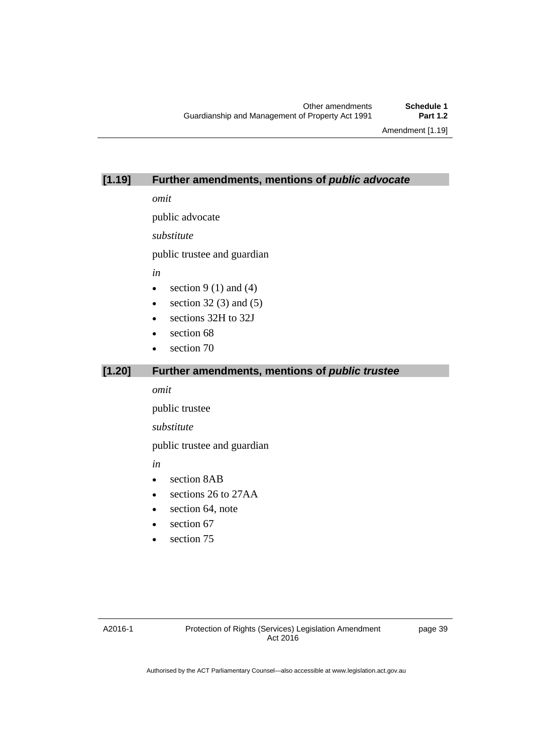Amendment [1.19]

# **[1.19] Further amendments, mentions of** *public advocate*

*omit* 

public advocate

*substitute* 

public trustee and guardian

*in* 

- $\bullet$  section 9 (1) and (4)
- $\bullet$  section 32 (3) and (5)
- sections 32H to 32J
- section 68
- section 70

# **[1.20] Further amendments, mentions of** *public trustee*

*omit* 

public trustee

*substitute* 

public trustee and guardian

*in* 

- section 8AB
- sections 26 to 27AA
- section 64, note
- $\bullet$  section 67
- section 75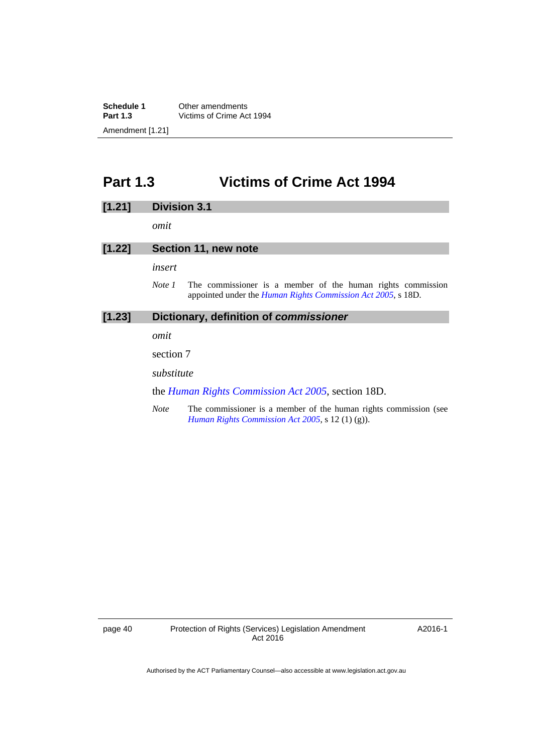**Schedule 1** Other amendments<br> **Part 1.3** Victims of Crime Ac **Part 1.3** Victims of Crime Act 1994 Amendment [1.21]

# <span id="page-43-0"></span>**Part 1.3 Victims of Crime Act 1994**

#### **[1.21] Division 3.1**

*omit* 

#### **[1.22] Section 11, new note**

*insert* 

*Note 1* The commissioner is a member of the human rights commission appointed under the *[Human Rights Commission Act 2005](http://www.legislation.act.gov.au/a/2005-40)*, s 18D.

#### **[1.23] Dictionary, definition of** *commissioner*

*omit* 

section 7

*substitute* 

the *[Human Rights Commission Act 2005](http://www.legislation.act.gov.au/a/2005-40)*, section 18D.

*Note* The commissioner is a member of the human rights commission (see *[Human Rights Commission Act 2005](http://www.legislation.act.gov.au/a/2005-40)*, s 12 (1) (g)).

page 40 Protection of Rights (Services) Legislation Amendment Act 2016

A2016-1